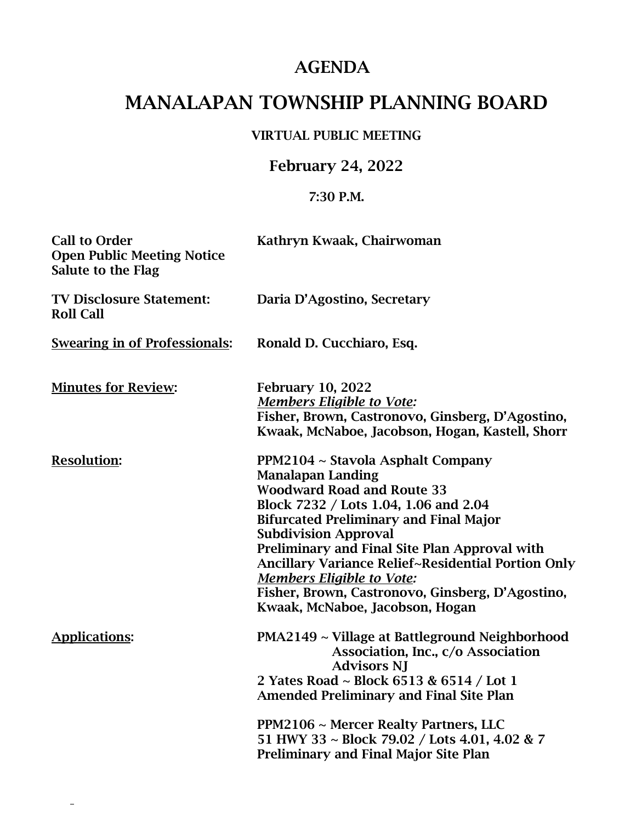## AGENDA

# MANALAPAN TOWNSHIP PLANNING BOARD

#### VIRTUAL PUBLIC MEETING

### February 24, 2022

#### 7:30 P.M.

| <b>Call to Order</b><br><b>Open Public Meeting Notice</b><br><b>Salute to the Flag</b> | Kathryn Kwaak, Chairwoman                                                                                                                                                                                                                                                                                                                                                                                                                                            |
|----------------------------------------------------------------------------------------|----------------------------------------------------------------------------------------------------------------------------------------------------------------------------------------------------------------------------------------------------------------------------------------------------------------------------------------------------------------------------------------------------------------------------------------------------------------------|
| <b>TV Disclosure Statement:</b><br><b>Roll Call</b>                                    | Daria D'Agostino, Secretary                                                                                                                                                                                                                                                                                                                                                                                                                                          |
| <b>Swearing in of Professionals:</b>                                                   | Ronald D. Cucchiaro, Esq.                                                                                                                                                                                                                                                                                                                                                                                                                                            |
| <b>Minutes for Review:</b>                                                             | <b>February 10, 2022</b><br><b>Members Eligible to Vote:</b><br>Fisher, Brown, Castronovo, Ginsberg, D'Agostino,<br>Kwaak, McNaboe, Jacobson, Hogan, Kastell, Shorr                                                                                                                                                                                                                                                                                                  |
| <b>Resolution:</b>                                                                     | PPM2104 ~ Stavola Asphalt Company<br><b>Manalapan Landing</b><br><b>Woodward Road and Route 33</b><br>Block 7232 / Lots 1.04, 1.06 and 2.04<br><b>Bifurcated Preliminary and Final Major</b><br><b>Subdivision Approval</b><br>Preliminary and Final Site Plan Approval with<br><b>Ancillary Variance Relief~Residential Portion Only</b><br><b>Members Eligible to Vote:</b><br>Fisher, Brown, Castronovo, Ginsberg, D'Agostino,<br>Kwaak, McNaboe, Jacobson, Hogan |
| <b>Applications:</b>                                                                   | PMA2149 ~ Village at Battleground Neighborhood<br>Association, Inc., c/o Association<br><b>Advisors NJ</b><br>2 Yates Road ~ Block 6513 & 6514 / Lot 1<br><b>Amended Preliminary and Final Site Plan</b><br>PPM2106 ~ Mercer Realty Partners, LLC<br>51 HWY 33 ~ Block 79.02 / Lots 4.01, 4.02 & 7<br><b>Preliminary and Final Major Site Plan</b>                                                                                                                   |

 $\overline{a}$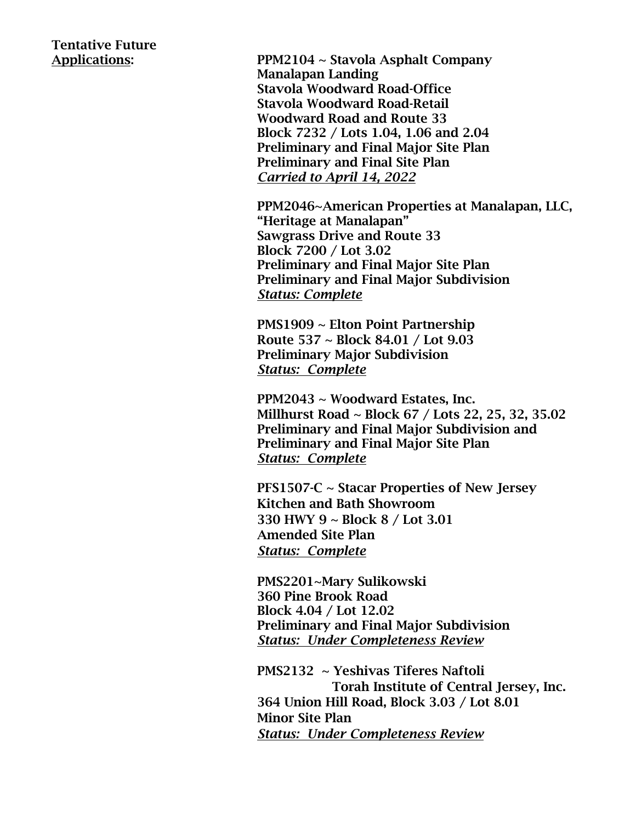# Tentative Future

Applications: PPM2104 ~ Stavola Asphalt Company Manalapan Landing Stavola Woodward Road-Office Stavola Woodward Road-Retail Woodward Road and Route 33 Block 7232 / Lots 1.04, 1.06 and 2.04 Preliminary and Final Major Site Plan Preliminary and Final Site Plan *Carried to April 14, 2022*

> PPM2046~American Properties at Manalapan, LLC, "Heritage at Manalapan" Sawgrass Drive and Route 33 Block 7200 / Lot 3.02 Preliminary and Final Major Site Plan Preliminary and Final Major Subdivision *Status: Complete*

PMS1909 ~ Elton Point Partnership Route 537 ~ Block 84.01 / Lot 9.03 Preliminary Major Subdivision *Status: Complete*

PPM2043 ~ Woodward Estates, Inc. Millhurst Road ~ Block 67 / Lots 22, 25, 32, 35.02 Preliminary and Final Major Subdivision and Preliminary and Final Major Site Plan *Status: Complete*

PFS1507-C ~ Stacar Properties of New Jersey Kitchen and Bath Showroom 330 HWY 9 ~ Block 8 / Lot 3.01 Amended Site Plan *Status: Complete*

PMS2201~Mary Sulikowski 360 Pine Brook Road Block 4.04 / Lot 12.02 Preliminary and Final Major Subdivision *Status: Under Completeness Review*

PMS2132 ~ Yeshivas Tiferes Naftoli Torah Institute of Central Jersey, Inc. 364 Union Hill Road, Block 3.03 / Lot 8.01 Minor Site Plan *Status: Under Completeness Review*